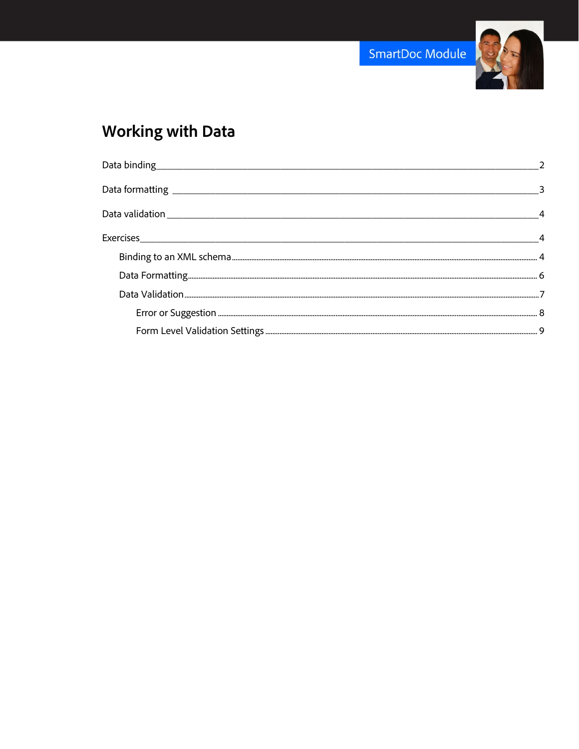

# **Working with Data**

| Data binding<br><u> 2002 - Jan Berlin, martin dina masjid a shekara ta 1980 a shekara ta 1980 a shekara ta 1980 a shekara ta 198</u> |  |
|--------------------------------------------------------------------------------------------------------------------------------------|--|
|                                                                                                                                      |  |
|                                                                                                                                      |  |
|                                                                                                                                      |  |
|                                                                                                                                      |  |
|                                                                                                                                      |  |
|                                                                                                                                      |  |
|                                                                                                                                      |  |
|                                                                                                                                      |  |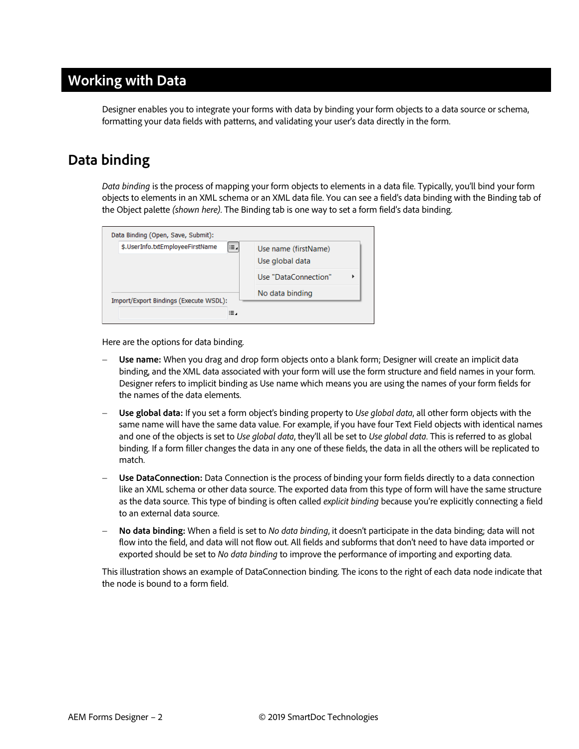# **Working with Data**

Designer enables you to integrate your forms with data by binding your form objects to a data source or schema, formatting your data fields with patterns, and validating your user's data directly in the form.

# <span id="page-1-0"></span>**Data binding**

*Data binding* is the process of mapping your form objects to elements in a data file. Typically, you'll bind your form objects to elements in an XML schema or an XML data file. You can see a field's data binding with the Binding tab of the Object palette *(shown here)*. The Binding tab is one way to set a form field's data binding.

| Data Binding (Open, Save, Submit):      |                                         |
|-----------------------------------------|-----------------------------------------|
| \$.UserInfo.txtEmployeeFirstName<br>і≣⊿ | Use name (firstName)<br>Use global data |
|                                         | Use "DataConnection"<br>Þ               |
| Import/Export Bindings (Execute WSDL):  | No data binding                         |
| ≔.                                      |                                         |

Here are the options for data binding.

- − **Use name:** When you drag and drop form objects onto a blank form; Designer will create an implicit data binding, and the XML data associated with your form will use the form structure and field names in your form. Designer refers to implicit binding as Use name which means you are using the names of your form fields for the names of the data elements.
- − **Use global data:** If you set a form object's binding property to *Use global data*, all other form objects with the same name will have the same data value. For example, if you have four Text Field objects with identical names and one of the objects is set to *Use global data*, they'll all be set to *Use global data*. This is referred to as global binding. If a form filler changes the data in any one of these fields, the data in all the others will be replicated to match.
- − **Use DataConnection:** Data Connection is the process of binding your form fields directly to a data connection like an XML schema or other data source. The exported data from this type of form will have the same structure as the data source. This type of binding is often called *explicit binding* because you're explicitly connecting a field to an external data source.
- − **No data binding:** When a field is set to *No data binding*, it doesn't participate in the data binding; data will not flow into the field, and data will not flow out. All fields and subforms that don't need to have data imported or exported should be set to *No data binding* to improve the performance of importing and exporting data.

This illustration shows an example of DataConnection binding. The icons to the right of each data node indicate that the node is bound to a form field.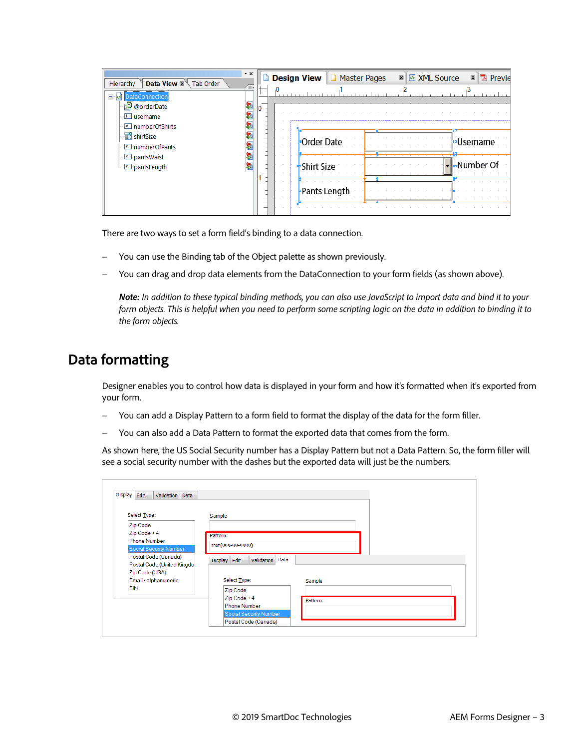| <b>Data View</b> ⊠<br>Tab Order<br>Hierarchy | $\mathbf{v} \times$ | <b>Design View</b><br><b>Master Pages</b><br><b>◎ XML Source</b><br><b>D</b> Previe<br>n<br>$\boxed{\textbf{x}}$<br>図 |
|----------------------------------------------|---------------------|-----------------------------------------------------------------------------------------------------------------------|
| DataConnection                               | ∕≣∡                 | and the com-                                                                                                          |
| @orderDate<br>username                       |                     |                                                                                                                       |
| # numberOfShirts                             |                     |                                                                                                                       |
| <b>Fi</b> shirtSize<br># numberOfPants       |                     | Order Date<br>·Username                                                                                               |
| $\equiv$ pantsWaist<br>$\Box$ pantsLength    |                     | -Number Of<br><b>⊧</b> Shirt Size                                                                                     |
|                                              |                     | ÷                                                                                                                     |
|                                              |                     | Pants Length                                                                                                          |
|                                              |                     |                                                                                                                       |

There are two ways to set a form field's binding to a data connection.

- − You can use the Binding tab of the Object palette as shown previously.
- − You can drag and drop data elements from the DataConnection to your form fields (as shown above).

*Note: In addition to these typical binding methods, you can also use JavaScript to import data and bind it to your form objects. This is helpful when you need to perform some scripting logic on the data in addition to binding it to the form objects.*

### <span id="page-2-0"></span>**Data formatting**

Designer enables you to control how data is displayed in your form and how it's formatted when it's exported from your form.

- − You can add a Display Pattern to a form field to format the display of the data for the form filler.
- − You can also add a Data Pattern to format the exported data that comes from the form.

As shown here, the US Social Security number has a Display Pattern but not a Data Pattern. So, the form filler will see a social security number with the dashes but the exported data will just be the numbers.

| Display Edit                                                                                                |                                     | Validation Data                                                                       |                               |  |
|-------------------------------------------------------------------------------------------------------------|-------------------------------------|---------------------------------------------------------------------------------------|-------------------------------|--|
|                                                                                                             | Select Type:<br><b>Zip Code</b>     |                                                                                       | Sample                        |  |
|                                                                                                             | Zip Code + 4<br><b>Phone Number</b> | Social Security Number                                                                | Pattern:<br>text{999-99-9999} |  |
| Postal Code (Canada)<br>Postal Code (United Kingdo)<br>Zip Code (USA)<br>Email - alphanumeric<br><b>EIN</b> |                                     | Data<br>Validation<br>Display Edit<br>Select Type:<br>Sample                          |                               |  |
|                                                                                                             |                                     | Zip Code<br>Zip Code + 4<br>Pattern:<br><b>Phone Number</b><br>Social Security Number |                               |  |
|                                                                                                             |                                     |                                                                                       | Postal Code (Canada)          |  |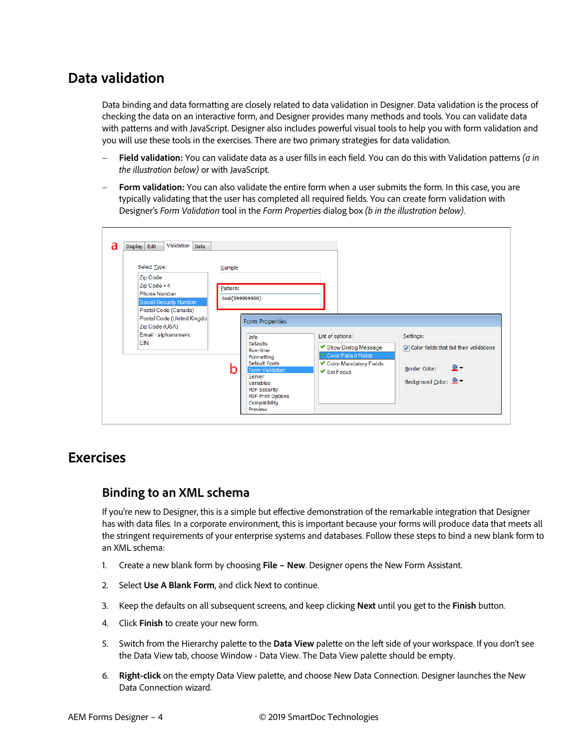## <span id="page-3-0"></span>**Data validation**

Data binding and data formatting are closely related to data validation in Designer. Data validation is the process of checking the data on an interactive form, and Designer provides many methods and tools. You can validate data with patterns and with JavaScript. Designer also includes powerful visual tools to help you with form validation and you will use these tools in the exercises. There are two primary strategies for data validation.

- − **Field validation:** You can validate data as a user fills in each field. You can do this with Validation patterns *(a in the illustration below)* or with JavaScript.
- − **Form validation:** You can also validate the entire form when a user submits the form. In this case, you are typically validating that the user has completed all required fields. You can create form validation with Designer's *Form Validation* tool in the *Form Properties* dialog box *(b in the illustration below)*.

| Validation Data<br>Display Edit<br>Select Type:                                                                                  | Sample                      |                                                                                                                                                                                            |                                               |                                                                                                        |                                                                                                                                          |
|----------------------------------------------------------------------------------------------------------------------------------|-----------------------------|--------------------------------------------------------------------------------------------------------------------------------------------------------------------------------------------|-----------------------------------------------|--------------------------------------------------------------------------------------------------------|------------------------------------------------------------------------------------------------------------------------------------------|
| Zip Code<br>Zip Code + 4<br><b>Phone Number</b><br>Social Security Number<br>Postal Code (Canada)<br>Postal Code (United Kingdo) | Pattern:<br>text{999999999} | <b>Form Properties</b>                                                                                                                                                                     |                                               |                                                                                                        |                                                                                                                                          |
| Zip Code (USA)<br>Email - alphanumeric<br><b>EIN</b>                                                                             | Info                        | <b>Defaults</b><br>Run-time<br>Formatting<br><b>Default Fonts</b><br>Form Validation<br>Server<br>Variables<br><b>PDF Security</b><br><b>PDF Print Options</b><br>Compatibility<br>Preview | List of options:<br>$\triangleleft$ Set Focus | ◆ Show Dialog Message<br><b>S</b> Color Failed Fields<br><i><b>Exercise Color Mandatory Fields</b></i> | Settings:<br>Color fields that fail their validations<br>2∙<br><b>Border Color:</b><br>Background Color: $\bigotimes \blacktriangledown$ |

### <span id="page-3-2"></span><span id="page-3-1"></span>**Exercises**

#### **Binding to an XML schema**

If you're new to Designer, this is a simple but effective demonstration of the remarkable integration that Designer has with data files. In a corporate environment, this is important because your forms will produce data that meets all the stringent requirements of your enterprise systems and databases. Follow these steps to bind a new blank form to an XML schema:

- 1. Create a new blank form by choosing **File – New**. Designer opens the New Form Assistant.
- 2. Select **Use A Blank Form**, and click Next to continue.
- 3. Keep the defaults on all subsequent screens, and keep clicking **Next** until you get to the **Finish** button.
- 4. Click **Finish** to create your new form.
- 5. Switch from the Hierarchy palette to the **Data View** palette on the left side of your workspace. If you don't see the Data View tab, choose Window - Data View. The Data View palette should be empty.
- 6. **Right-click** on the empty Data View palette, and choose New Data Connection. Designer launches the New Data Connection wizard.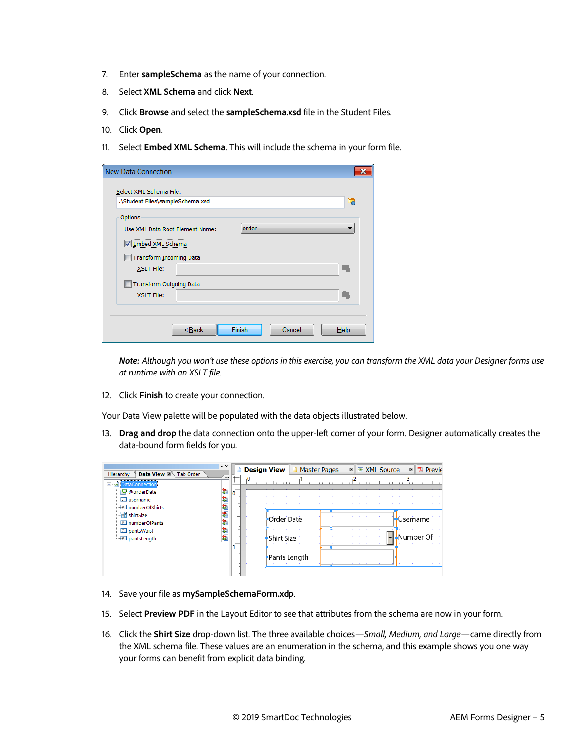- 7. Enter **sampleSchema** as the name of your connection.
- 8. Select **XML Schema** and click **Next**.
- 9. Click **Browse** and select the **sampleSchema.xsd** file in the Student Files.
- 10. Click **Open**.
- 11. Select **Embed XML Schema**. This will include the schema in your form file.

| <b>New Data Connection</b>                                                |                  |         |
|---------------------------------------------------------------------------|------------------|---------|
| Select XML Schema File:<br>.\Student Files\sampleSchema.xsd               |                  | G       |
| <b>Options</b>                                                            |                  |         |
| Use XML Data Root Element Name:<br>Embed XML Schema                       | order            |         |
| Transform Incoming Data                                                   |                  |         |
| <b>XSLT File:</b><br>Transform Outgoing Data                              |                  |         |
| XSLT File:                                                                |                  |         |
|                                                                           |                  |         |
| <back< td=""><td>Finish<br/>Cancel</td><td><math>He</math>lp</td></back<> | Finish<br>Cancel | $He$ lp |

*Note: Although you won't use these options in this exercise, you can transform the XML data your Designer forms use at runtime with an XSLT file.*

12. Click **Finish** to create your connection.

Your Data View palette will be populated with the data objects illustrated below.

13. **Drag and drop** the data connection onto the upper-left corner of your form. Designer automatically creates the data-bound form fields for you.

| $\mathbf{v} \times$<br>Data View E<br><b>Tab Order</b><br>Hierarchy<br>信息 | ⊠ Ø XML Source<br><b>Design View</b><br><b>Master Pages</b><br><b>E</b> Previe<br>$\boxed{\textbf{X}}$ |
|---------------------------------------------------------------------------|--------------------------------------------------------------------------------------------------------|
| ataConnection<br>Eŀ<br>@orderDate<br><b>I</b> username<br>numberOfShirts  | ۰U                                                                                                     |
| hirtSize                                                                  | Order Date<br>Username                                                                                 |
| # pantsWaist<br>$\Box$ pantsLength                                        | -Number Of<br><b>Shirt Size</b>                                                                        |
|                                                                           | Pants Length                                                                                           |

- 14. Save your file as **mySampleSchemaForm.xdp**.
- 15. Select **Preview PDF** in the Layout Editor to see that attributes from the schema are now in your form.
- 16. Click the **Shirt Size** drop-down list. The three available choices—*Small, Medium, and Large*—came directly from the XML schema file. These values are an enumeration in the schema, and this example shows you one way your forms can benefit from explicit data binding.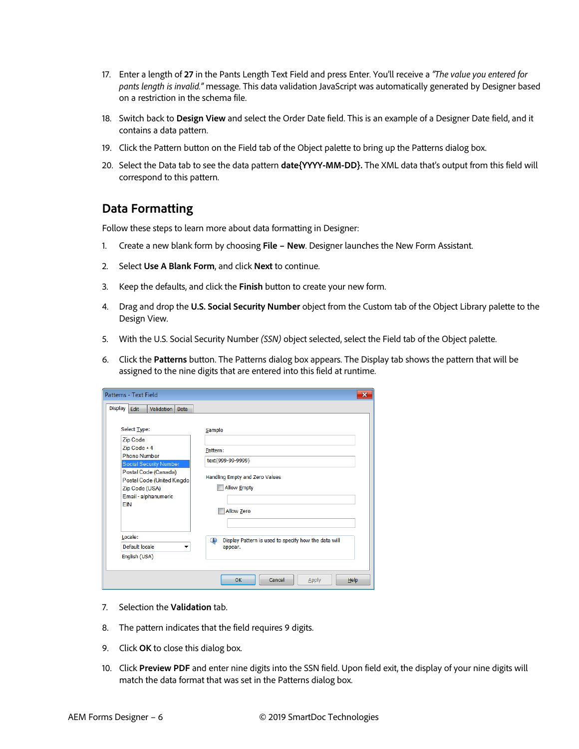- 17. Enter a length of **27** in the Pants Length Text Field and press Enter. You'll receive a *"The value you entered for pants length is invalid."* message. This data validation JavaScript was automatically generated by Designer based on a restriction in the schema file.
- 18. Switch back to **Design View** and select the Order Date field. This is an example of a Designer Date field, and it contains a data pattern.
- 19. Click the Pattern button on the Field tab of the Object palette to bring up the Patterns dialog box.
- 20. Select the Data tab to see the data pattern **date{YYYY-MM-DD}.** The XML data that's output from this field will correspond to this pattern.

### <span id="page-5-0"></span>**Data Formatting**

Follow these steps to learn more about data formatting in Designer:

- 1. Create a new blank form by choosing **File – New**. Designer launches the New Form Assistant.
- 2. Select **Use A Blank Form**, and click **Next** to continue.
- 3. Keep the defaults, and click the **Finish** button to create your new form.
- 4. Drag and drop the **U.S. Social Security Number** object from the Custom tab of the Object Library palette to the Design View.
- 5. With the U.S. Social Security Number *(SSN)* object selected, select the Field tab of the Object palette.
- 6. Click the **Patterns** button. The Patterns dialog box appears. The Display tab shows the pattern that will be assigned to the nine digits that are entered into this field at runtime.

| <b>Patterns - Text Field</b>                                                                                                                                                                            | $\mathbf x$                                                                                                          |  |
|---------------------------------------------------------------------------------------------------------------------------------------------------------------------------------------------------------|----------------------------------------------------------------------------------------------------------------------|--|
| <b>Display</b><br>Edit<br>Validation<br><b>Data</b>                                                                                                                                                     |                                                                                                                      |  |
| Select Type:<br><b>Zip Code</b><br>Zip Code + 4<br><b>Phone Number</b><br>Social Security Number<br>Postal Code (Canada)<br>Postal Code (United Kingdo<br>Zip Code (USA)<br>Email - alphanumeric<br>EIN | Sample<br>Pattern:<br>text{999-99-9999}<br>Handling Empty and Zero Values<br><b>Allow Empty</b><br><b>Allow Zero</b> |  |
| Locale:<br><b>Default locale</b><br>English (USA)                                                                                                                                                       | $\bullet$<br>Display Pattern is used to specify how the data will<br>appear.                                         |  |
|                                                                                                                                                                                                         | Cancel<br>OK<br><b>Help</b><br>Apply                                                                                 |  |

- 7. Selection the **Validation** tab.
- 8. The pattern indicates that the field requires 9 digits.
- 9. Click **OK** to close this dialog box.
- 10. Click **Preview PDF** and enter nine digits into the SSN field. Upon field exit, the display of your nine digits will match the data format that was set in the Patterns dialog box.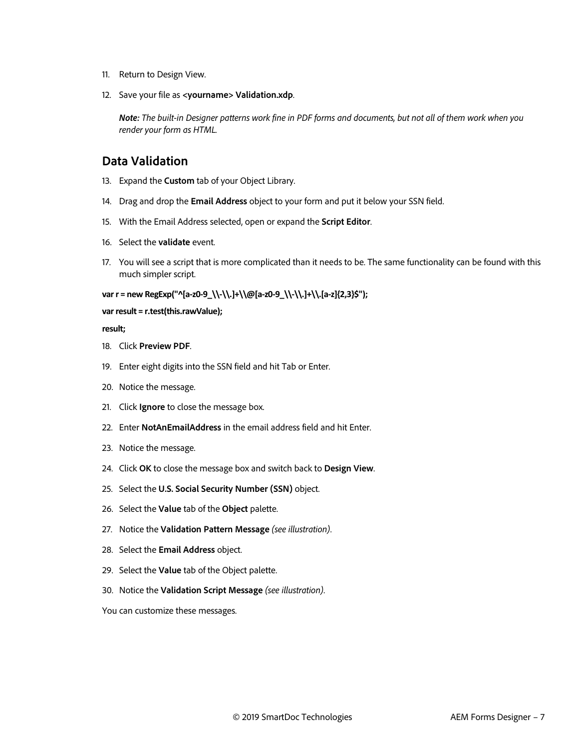- 11. Return to Design View.
- 12. Save your file as **<yourname> Validation.xdp**.

*Note: The built-in Designer patterns work fine in PDF forms and documents, but not all of them work when you render your form as HTML.*

### <span id="page-6-0"></span>**Data Validation**

- 13. Expand the **Custom** tab of your Object Library.
- 14. Drag and drop the **Email Address** object to your form and put it below your SSN field.
- 15. With the Email Address selected, open or expand the **Script Editor**.
- 16. Select the **validate** event.
- 17. You will see a script that is more complicated than it needs to be. The same functionality can be found with this much simpler script.

**var r = new RegExp("^[a-z0-9\_\\-\\.]+\\@[a-z0-9\_\\-\\.]+\\.[a-z]{2,3}\$");**

```
var result = r.test(this.rawValue);
```
**result;**

- 18. Click **Preview PDF**.
- 19. Enter eight digits into the SSN field and hit Tab or Enter.
- 20. Notice the message.
- 21. Click **Ignore** to close the message box.
- 22. Enter **NotAnEmailAddress** in the email address field and hit Enter.
- 23. Notice the message.
- 24. Click **OK** to close the message box and switch back to **Design View**.
- 25. Select the **U.S. Social Security Number (SSN)** object.
- 26. Select the **Value** tab of the **Object** palette.
- 27. Notice the **Validation Pattern Message** *(see illustration)*.
- 28. Select the **Email Address** object.
- 29. Select the **Value** tab of the Object palette.
- 30. Notice the **Validation Script Message** *(see illustration)*.

You can customize these messages.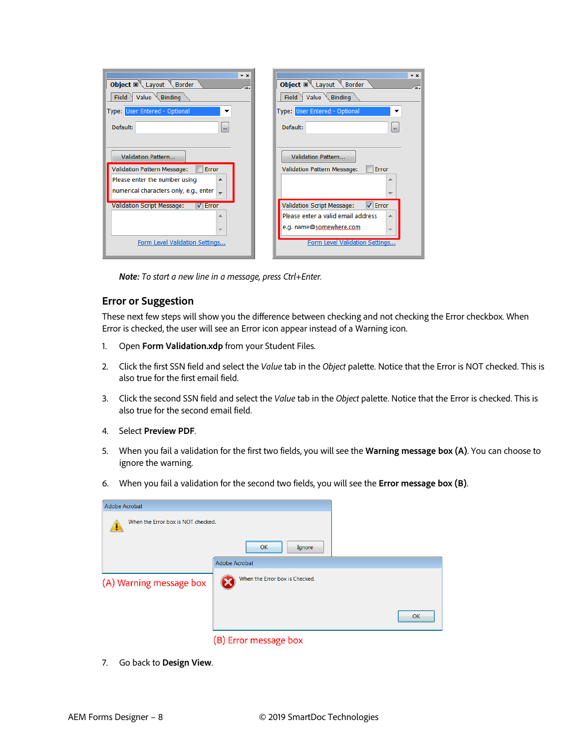| $\mathbf{v}$ x<br><b>Object</b> $\mathbb{R}^n$ Layout $\mathbb{R}^n$<br><b>Border</b><br>Æ<br>$\forall$ Value $\forall$ Binding<br>Field<br>Type: User Entered - Optional<br>Default:<br>$\alpha$ | $\star$ $\times$<br><b>Object</b> $\mathbb{R}^{\mathbb{N}}$ Layout $\mathbb{N}$<br><b>Border</b><br>Æ.<br>Field $\forall$ Value $\forall$ Binding<br>Type: User Entered - Optional<br>Default:<br>$\mathbf{r}$ |
|---------------------------------------------------------------------------------------------------------------------------------------------------------------------------------------------------|----------------------------------------------------------------------------------------------------------------------------------------------------------------------------------------------------------------|
| <b>Validation Pattern</b><br>Validation Pattern Message:<br>Error<br>Please enter the number using<br>▴<br>numerical characters only, e.g., enter                                                 | <b>Validation Pattern</b><br>Validation Pattern Message:<br>Error<br>▴<br>$\overline{\phantom{a}}$                                                                                                             |
| <b>Validation Script Message:</b><br>$\sqrt{\phantom{a}}$ Error<br>▴<br>$\overline{\phantom{a}}$<br>Form Level Validation Settings                                                                | $ \nabla $ Error<br>Validation Script Message:<br>Please enter a valid email address<br>∸<br>e.g. name@somewhere.com<br>$\overline{\phantom{a}}$<br>Form Level Validation Settings                             |

*Note: To start a new line in a message, press Ctrl+Enter.*

#### <span id="page-7-0"></span>**Error or Suggestion**

These next few steps will show you the difference between checking and not checking the Error checkbox. When Error is checked, the user will see an Error icon appear instead of a Warning icon.

- 1. Open **Form Validation.xdp** from your Student Files.
- 2. Click the first SSN field and select the *Value* tab in the *Object* palette. Notice that the Error is NOT checked. This is also true for the first email field.
- 3. Click the second SSN field and select the *Value* tab in the *Object* palette. Notice that the Error is checked. This is also true for the second email field.
- 4. Select **Preview PDF**.
- 5. When you fail a validation for the first two fields, you will see the **Warning message box (A)**. You can choose to ignore the warning.
- 6. When you fail a validation for the second two fields, you will see the **Error message box (B)**.

| <b>Adobe Acrobat</b>               |                                |    |
|------------------------------------|--------------------------------|----|
| When the Error box is NOT checked. |                                |    |
|                                    | OK<br>Ignore                   |    |
|                                    | Adobe Acrobat                  |    |
| (A) Warning message box            | When the Error box is Checked. |    |
|                                    |                                | OK |
|                                    | (B) Error message box          |    |

7. Go back to **Design View**.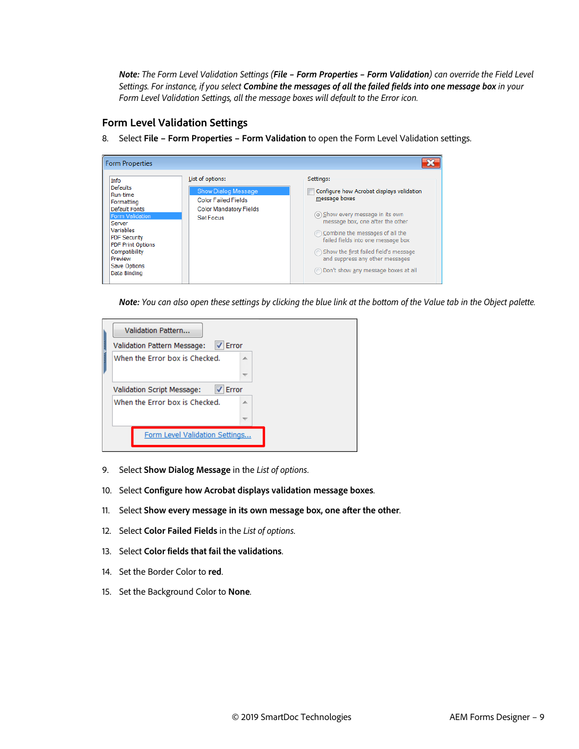*Note: The Form Level Validation Settings (File – Form Properties – Form Validation) can override the Field Level Settings. For instance, if you select Combine the messages of all the failed fields into one message box in your Form Level Validation Settings, all the message boxes will default to the Error icon.*

#### <span id="page-8-0"></span>**Form Level Validation Settings**

8. Select **File – Form Properties – Form Validation** to open the Form Level Validation settings.



*Note: You can also open these settings by clicking the blue link at the bottom of the Value tab in the Object palette.*

|                                 | Validation Pattern                   |
|---------------------------------|--------------------------------------|
| <b>The Second Second Second</b> | Validation Pattern Message:<br>Error |
|                                 | When the Error box is Checked.       |
|                                 | Error<br>Validation Script Message:  |
|                                 | When the Error box is Checked.       |
|                                 | Form Level Validation Settings       |

- 9. Select **Show Dialog Message** in the *List of options*.
- 10. Select **Configure how Acrobat displays validation message boxes**.
- 11. Select **Show every message in its own message box, one after the other**.
- 12. Select **Color Failed Fields** in the *List of options*.
- 13. Select **Color fields that fail the validations**.
- 14. Set the Border Color to **red**.
- 15. Set the Background Color to **None**.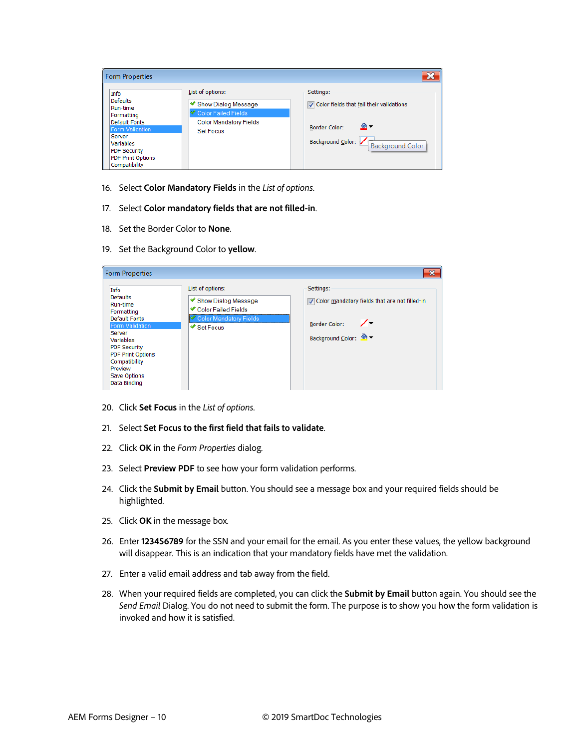| <b>Form Properties</b>                                                                                                                                                                  |                                                                                                                                       |                                                                                                                                                  |
|-----------------------------------------------------------------------------------------------------------------------------------------------------------------------------------------|---------------------------------------------------------------------------------------------------------------------------------------|--------------------------------------------------------------------------------------------------------------------------------------------------|
| Info<br><b>Defaults</b><br>Run-time<br>Formatting<br><b>Default Fonts</b><br>Form Validation<br>Server<br>Variables<br><b>PDF Security</b><br><b>PDF Print Options</b><br>Compatibility | List of options:<br><i><b>E</b></i> Show Dialog Message<br><b>V</b> Color Failed Fields<br><b>Color Mandatory Fields</b><br>Set Focus | Settings:<br>Color fields that fail their validations<br>ଛ∽<br><b>Border Color:</b><br>Background Color: $\mathbb{Z}$<br><b>Background Color</b> |

- 16. Select **Color Mandatory Fields** in the *List of options*.
- 17. Select **Color mandatory fields that are not filled-in**.
- 18. Set the Border Color to **None**.
- 19. Set the Background Color to **yellow**.

| <b>Form Properties</b>                                                                                                                                                                                                                    |                                                                                                                | $\mathbf{x}$                                                                                                               |
|-------------------------------------------------------------------------------------------------------------------------------------------------------------------------------------------------------------------------------------------|----------------------------------------------------------------------------------------------------------------|----------------------------------------------------------------------------------------------------------------------------|
| Info<br><b>Defaults</b><br>Run-time<br>Formatting<br><b>Default Fonts</b><br>Form Validation<br>Server<br>Variables<br><b>PDF Security</b><br><b>PDF Print Options</b><br>Compatibility<br>Preview<br><b>Save Options</b><br>Data Binding | List of options:<br>◆ Show Dialog Message<br>Color Failed Fields<br>Color Mandatory Fields<br><b>Set Focus</b> | Settings:<br>Color mandatory fields that are not filled-in<br>╱╍<br><b>Border Color:</b><br>Background Color: <sup>●</sup> |

- 20. Click **Set Focus** in the *List of options*.
- 21. Select **Set Focus to the first field that fails to validate**.
- 22. Click **OK** in the *Form Properties* dialog.
- 23. Select **Preview PDF** to see how your form validation performs.
- 24. Click the **Submit by Email** button. You should see a message box and your required fields should be highlighted.
- 25. Click **OK** in the message box.
- 26. Enter **123456789** for the SSN and your email for the email. As you enter these values, the yellow background will disappear. This is an indication that your mandatory fields have met the validation.
- 27. Enter a valid email address and tab away from the field.
- 28. When your required fields are completed, you can click the **Submit by Email** button again. You should see the *Send Email* Dialog. You do not need to submit the form. The purpose is to show you how the form validation is invoked and how it is satisfied.